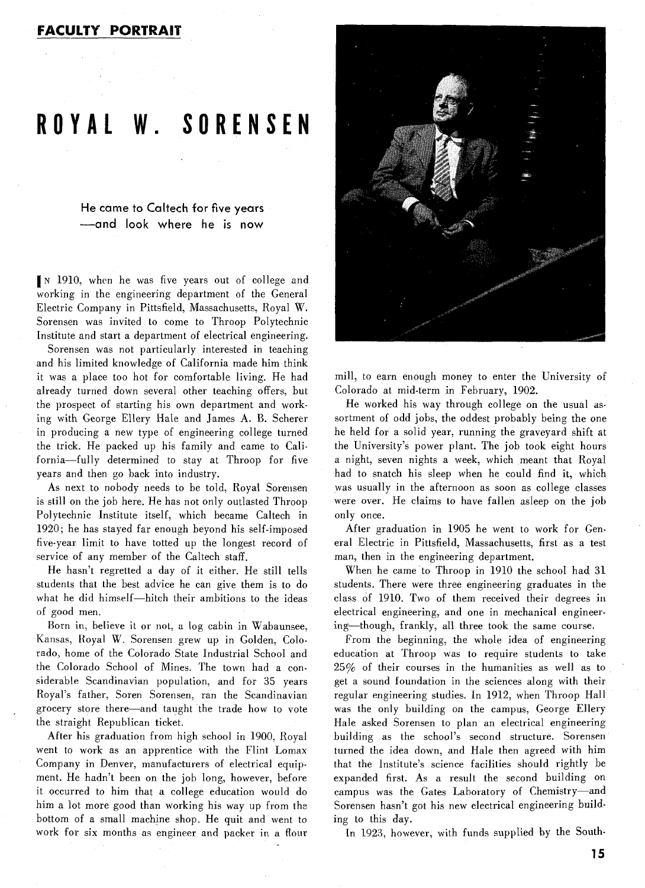## **FACULTY PORTRAIT**

## **ROYAL W. SORENSEN**

He came to Caltech for five years -and look where he is now

IN 1910, when he was five years out of college and working in the engineering department of the General Electric Company in Pittsfield, Massachusetts, Royal W. Sorensen was invited to come to Throop Polytechnic Institute and start a department of electrical engineering.

Sorensen was not particularly interested in teaching and his limited knowledge of California made him think it was a place too hot for comfortable living. He had already turned down several other teaching offers, but the prospect of starting his own department and working with George Ellery Hale and James A. B. Scherer in producing a new type of engineering college turned the trick. He packed up his family and came to California-fully determined to stay at Throop for five years and then go back into industry.

As next to nobody needs to be told, Royal Sorensen is still on the job here. He has not only outlasted Throop Polytechnic Institute itself, which became Caltech in 1920; he has stayed far enough beyond his self-imposed five-year limit to have totted up the longest record of service of any member of the Caltech staff.

He hasn't regretted a day of it either. He still tells students that the best advice he can give them is to do what he did himself-hitch their ambitions to the ideas of good men.

Born in, believe it or not, a log cabin in Wabaunsee, Kansas, Royal W. Sorensen grew up in Golden, Colorado, home of the Colorado State Industrial School and the Colorado School of Mines. The town had a considerable Scandinavian population, and for 35 years Royal's father, Soren Sorensen, ran the Scandinavian grocery store there-and taught the trade how to vote the straight Republican ticket.

After his graduation from high school in 1900, Royal went to work as an apprentice with the Flint Lomax Company in Denver, manufacturers of electrical equipment. He hadn't been on the job long, however, before it occurred to him that a college education would do him a lot more good than working his way up from the bottom of a small machine shop. He quit and went to work for six months as engineer and packer in a flour



mill, to earn enough money to enter the University of Colorado at mid-term in February, 1902.

He worked his way through college on the usual assortment of odd jobs, the oddest probably being the one he held for a solid year, running the graveyard shift at the University's power plant. The job took eight hours a night, seven nights a week, which meant that Royal had to snatch his sleep when he could find it, which was usually in the afternoon as soon as college classes were over. He claims to have fallen asleep on the job only once.

After graduation in 1905 he went to work for Cenera1 Electric in Pittsfield, Massachusetts, first as a test man, then in the engineering department.

When he came to Throop in 1910 the school had 31 students. There were three engineering graduates in the class of 1910. Two of them received their degrees in electrical engineering, and one in mechanical engineering-though, frankly, all three took the same course.

From the beginning, the whole idea of engineering education at Throop was to require students to take 25% of their courses in the humanities as well as to get a sound foundation in the sciences along with their regular engineering studies. In 1912, when Throop Hall was the only building on the campus, George Ellery Hale asked Sorensen to plan an electrical engineering building as the school's second structure. Sorensen turned the idea down, and Hale then agreed with him that the Institute's science facilities should rightly be expanded first. As a result the second building on campus was the Gates Laboratory of Chemistry-and Sorensen hasn't got his new electrical engineering building to this day.

In 1923, however, with funds supplied by the South-